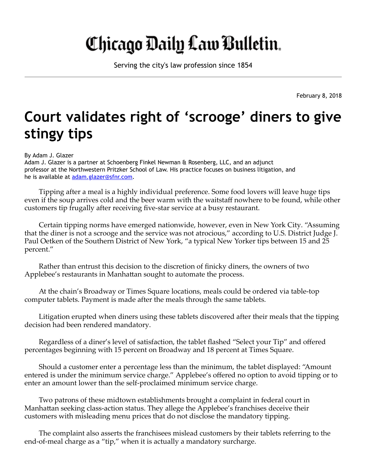## Chicago Daily Law Bulletin.

Serving the city's law profession since 1854

February 8, 2018

## Court validates right of 'scrooge' diners to give stingy tips

By Adam J. Glazer

Adam J. Glazer is a partner at Schoenberg Finkel Newman & Rosenberg, LLC, and an adjunct professor at the Northwestern Pritzker School of Law. His practice focuses on business litigation, and he is available at [adam.glazer@sfnr.com.](mailto:adam.glazer@sfnr.com)

Tipping after a meal is a highly individual preference. Some food lovers will leave huge tips even if the soup arrives cold and the beer warm with the waitstaff nowhere to be found, while other customers tip frugally after receiving five-star service at a busy restaurant.

Certain tipping norms have emerged nationwide, however, even in New York City. "Assuming that the diner is not a scrooge and the service was not atrocious," according to U.S. District Judge J. Paul Oetken of the Southern District of New York, "a typical New Yorker tips between 15 and 25 percent."

Rather than entrust this decision to the discretion of finicky diners, the owners of two Applebee's restaurants in Manhattan sought to automate the process.

At the chain's Broadway or Times Square locations, meals could be ordered via table-top computer tablets. Payment is made after the meals through the same tablets.

Litigation erupted when diners using these tablets discovered after their meals that the tipping decision had been rendered mandatory.

Regardless of a diner's level of satisfaction, the tablet flashed "Select your Tip" and offered percentages beginning with 15 percent on Broadway and 18 percent at Times Square.

Should a customer enter a percentage less than the minimum, the tablet displayed: "Amount entered is under the minimum service charge." Applebee's offered no option to avoid tipping or to enter an amount lower than the self-proclaimed minimum service charge.

Two patrons of these midtown establishments brought a complaint in federal court in Manhattan seeking class-action status. They allege the Applebee's franchises deceive their customers with misleading menu prices that do not disclose the mandatory tipping.

The complaint also asserts the franchisees mislead customers by their tablets referring to the end-of-meal charge as a "tip," when it is actually a mandatory surcharge.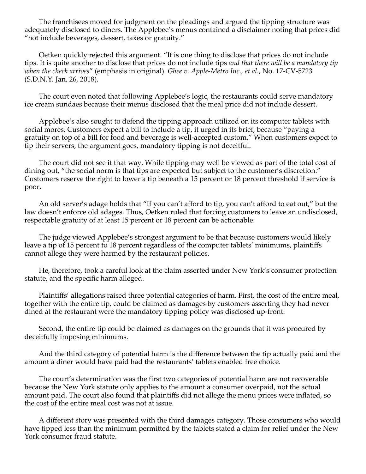The franchisees moved for judgment on the pleadings and argued the tipping structure was adequately disclosed to diners. The Applebee's menus contained a disclaimer noting that prices did "not include beverages, dessert, taxes or gratuity."

Oetken quickly rejected this argument. "It is one thing to disclose that prices do not include tips. It is quite another to disclose that prices do not include tips *and that there will be a mandatory tip when the check arrives*" (emphasis in original). *Ghee v. Apple-Metro Inc., et al.*, No. 17-CV-5723 (S.D.N.Y. Jan. 26, 2018).

The court even noted that following Applebee's logic, the restaurants could serve mandatory ice cream sundaes because their menus disclosed that the meal price did not include dessert.

Applebee's also sought to defend the tipping approach utilized on its computer tablets with social mores. Customers expect a bill to include a tip, it urged in its brief, because "paying a gratuity on top of a bill for food and beverage is well-accepted custom." When customers expect to tip their servers, the argument goes, mandatory tipping is not deceitful.

The court did not see it that way. While tipping may well be viewed as part of the total cost of dining out, "the social norm is that tips are expected but subject to the customer's discretion." Customers reserve the right to lower a tip beneath a 15 percent or 18 percent threshold if service is poor.

An old server's adage holds that "If you can't afford to tip, you can't afford to eat out," but the law doesn't enforce old adages. Thus, Oetken ruled that forcing customers to leave an undisclosed, respectable gratuity of at least 15 percent or 18 percent can be actionable.

The judge viewed Applebee's strongest argument to be that because customers would likely leave a tip of 15 percent to 18 percent regardless of the computer tablets' minimums, plaintiffs cannot allege they were harmed by the restaurant policies.

He, therefore, took a careful look at the claim asserted under New York's consumer protection statute, and the specific harm alleged.

Plaintiffs' allegations raised three potential categories of harm. First, the cost of the entire meal, together with the entire tip, could be claimed as damages by customers asserting they had never dined at the restaurant were the mandatory tipping policy was disclosed up-front.

Second, the entire tip could be claimed as damages on the grounds that it was procured by deceitfully imposing minimums.

And the third category of potential harm is the difference between the tip actually paid and the amount a diner would have paid had the restaurants' tablets enabled free choice.

The court's determination was the first two categories of potential harm are not recoverable because the New York statute only applies to the amount a consumer overpaid, not the actual amount paid. The court also found that plaintiffs did not allege the menu prices were inflated, so the cost of the entire meal cost was not at issue.

A different story was presented with the third damages category. Those consumers who would have tipped less than the minimum permitted by the tablets stated a claim for relief under the New York consumer fraud statute.